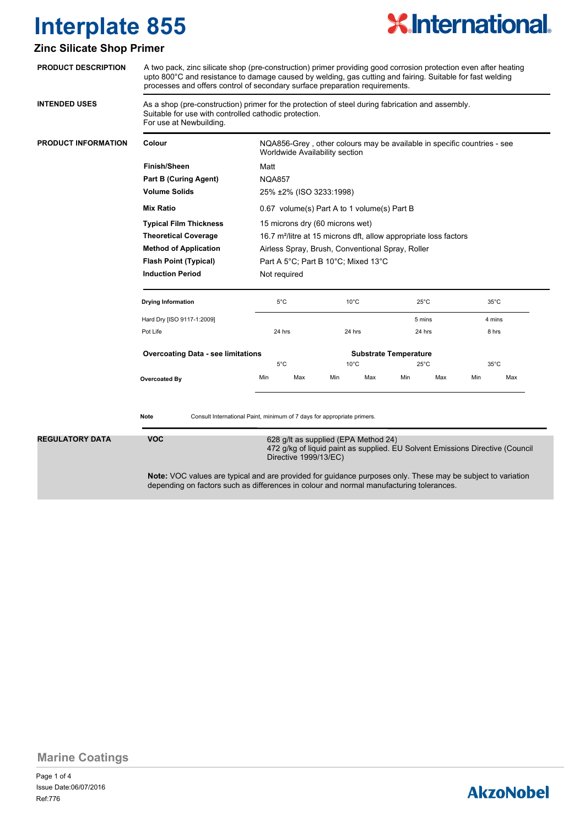

#### **Zinc Silicate Shop Primer**

| <b>PRODUCT DESCRIPTION</b> | A two pack, zinc silicate shop (pre-construction) primer providing good corrosion protection even after heating<br>upto 800°C and resistance to damage caused by welding, gas cutting and fairing. Suitable for fast welding<br>processes and offers control of secondary surface preparation requirements. |                                                                                                                                                                                                                    |               |                |                |                          |                              |                          |                |  |
|----------------------------|-------------------------------------------------------------------------------------------------------------------------------------------------------------------------------------------------------------------------------------------------------------------------------------------------------------|--------------------------------------------------------------------------------------------------------------------------------------------------------------------------------------------------------------------|---------------|----------------|----------------|--------------------------|------------------------------|--------------------------|----------------|--|
| <b>INTENDED USES</b>       | As a shop (pre-construction) primer for the protection of steel during fabrication and assembly.<br>Suitable for use with controlled cathodic protection.<br>For use at Newbuilding.                                                                                                                        |                                                                                                                                                                                                                    |               |                |                |                          |                              |                          |                |  |
| <b>PRODUCT INFORMATION</b> | Colour                                                                                                                                                                                                                                                                                                      | NQA856-Grey, other colours may be available in specific countries - see<br>Worldwide Availability section                                                                                                          |               |                |                |                          |                              |                          |                |  |
|                            | Finish/Sheen                                                                                                                                                                                                                                                                                                | Matt                                                                                                                                                                                                               |               |                |                |                          |                              |                          |                |  |
|                            | <b>Part B (Curing Agent)</b>                                                                                                                                                                                                                                                                                | <b>NQA857</b>                                                                                                                                                                                                      |               |                |                |                          |                              |                          |                |  |
|                            | <b>Volume Solids</b>                                                                                                                                                                                                                                                                                        | 25% ±2% (ISO 3233:1998)                                                                                                                                                                                            |               |                |                |                          |                              |                          |                |  |
|                            | <b>Mix Ratio</b>                                                                                                                                                                                                                                                                                            | 0.67 volume(s) Part A to 1 volume(s) Part B<br>15 microns dry (60 microns wet)<br>16.7 m <sup>2</sup> /litre at 15 microns dft, allow appropriate loss factors<br>Airless Spray, Brush, Conventional Spray, Roller |               |                |                |                          |                              |                          |                |  |
|                            | <b>Typical Film Thickness</b>                                                                                                                                                                                                                                                                               |                                                                                                                                                                                                                    |               |                |                |                          |                              |                          |                |  |
|                            | <b>Theoretical Coverage</b>                                                                                                                                                                                                                                                                                 |                                                                                                                                                                                                                    |               |                |                |                          |                              |                          |                |  |
|                            | <b>Method of Application</b>                                                                                                                                                                                                                                                                                |                                                                                                                                                                                                                    |               |                |                |                          |                              |                          |                |  |
|                            | Part A 5°C; Part B 10°C; Mixed 13°C<br><b>Flash Point (Typical)</b>                                                                                                                                                                                                                                         |                                                                                                                                                                                                                    |               |                |                |                          |                              |                          |                |  |
|                            | <b>Induction Period</b>                                                                                                                                                                                                                                                                                     |                                                                                                                                                                                                                    | Not required  |                |                |                          |                              |                          |                |  |
|                            | <b>Drying Information</b>                                                                                                                                                                                                                                                                                   | $5^{\circ}$ C                                                                                                                                                                                                      |               | $10^{\circ}$ C |                | $25^{\circ}$ C<br>5 mins |                              | $35^{\circ}$ C<br>4 mins |                |  |
|                            | Hard Dry [ISO 9117-1:2009]                                                                                                                                                                                                                                                                                  |                                                                                                                                                                                                                    |               |                |                |                          |                              |                          |                |  |
|                            | Pot Life                                                                                                                                                                                                                                                                                                    |                                                                                                                                                                                                                    | 24 hrs        |                | 24 hrs         |                          | 24 hrs                       |                          | 8 hrs          |  |
|                            | <b>Overcoating Data - see limitations</b>                                                                                                                                                                                                                                                                   |                                                                                                                                                                                                                    |               |                |                |                          | <b>Substrate Temperature</b> |                          |                |  |
|                            |                                                                                                                                                                                                                                                                                                             |                                                                                                                                                                                                                    | $5^{\circ}$ C |                | $10^{\circ}$ C |                          | $25^{\circ}$ C               |                          | $35^{\circ}$ C |  |
|                            | Overcoated By                                                                                                                                                                                                                                                                                               | Min                                                                                                                                                                                                                | Max           | Min            | Max            | Min                      | Max                          | Min                      | Max            |  |
| <b>REGULATORY DATA</b>     | Consult International Paint, minimum of 7 days for appropriate primers.<br>Note<br><b>VOC</b><br>628 g/lt as supplied (EPA Method 24)                                                                                                                                                                       |                                                                                                                                                                                                                    |               |                |                |                          |                              |                          |                |  |
|                            | 472 g/kg of liquid paint as supplied. EU Solvent Emissions Directive (Council<br>Directive 1999/13/EC)                                                                                                                                                                                                      |                                                                                                                                                                                                                    |               |                |                |                          |                              |                          |                |  |
|                            | <b>Note:</b> VOC values are typical and are provided for guidance purposes only. These may be subject to variation<br>depending on factors such as differences in colour and normal manufacturing tolerances.                                                                                               |                                                                                                                                                                                                                    |               |                |                |                          |                              |                          |                |  |

**Marine Coatings**

### **AkzoNobel**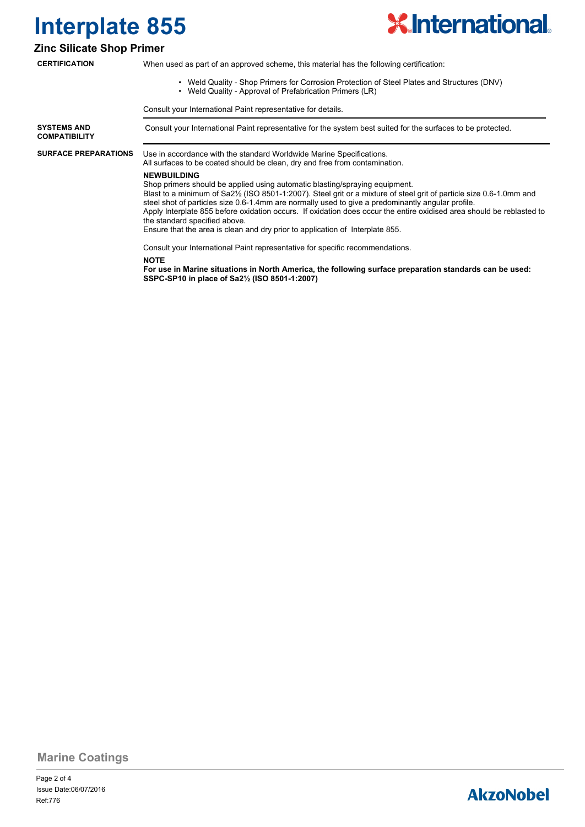

#### **Zinc Silicate Shop Primer**

**CERTIFICATION**

When used as part of an approved scheme, this material has the following certification:

- Weld Quality Shop Primers for Corrosion Protection of Steel Plates and Structures (DNV)
- Weld Quality Approval of Prefabrication Primers (LR)

Consult your International Paint representative for details.

**SYSTEMS AND** Consult your International Paint representative for the system best suited for the surfaces to be protected. **COMPATIBILITY** Use in accordance with the standard Worldwide Marine Specifications. All surfaces to be coated should be clean, dry and free from contamination. **SURFACE PREPARATIONS NEWBUILDING** Shop primers should be applied using automatic blasting/spraying equipment. Blast to a minimum of Sa2½ (ISO 8501-1:2007). Steel grit or a mixture of steel grit of particle size 0.6-1.0mm and steel shot of particles size 0.6-1.4mm are normally used to give a predominantly angular profile. Apply Interplate 855 before oxidation occurs. If oxidation does occur the entire oxidised area should be reblasted to the standard specified above. Ensure that the area is clean and dry prior to application of Interplate 855. Consult your International Paint representative for specific recommendations. **NOTE For use in Marine situations in North America, the following surface preparation standards can be used: SSPC-SP10 in place of Sa2½ (ISO 8501-1:2007)**

**Marine Coatings**

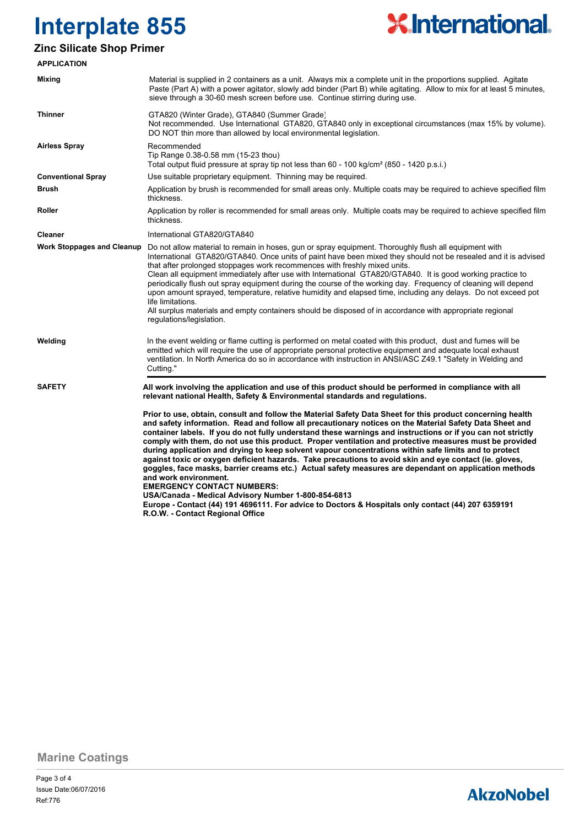

### **Zinc Silicate Shop Primer**

| <b>APPLICATION</b>                |                                                                                                                                                                                                                                                                                                                                                                                                                                                                                                                                                                                                                                                                                                                                                                                                                                                                                                                                                                                                                                           |  |  |  |
|-----------------------------------|-------------------------------------------------------------------------------------------------------------------------------------------------------------------------------------------------------------------------------------------------------------------------------------------------------------------------------------------------------------------------------------------------------------------------------------------------------------------------------------------------------------------------------------------------------------------------------------------------------------------------------------------------------------------------------------------------------------------------------------------------------------------------------------------------------------------------------------------------------------------------------------------------------------------------------------------------------------------------------------------------------------------------------------------|--|--|--|
| Mixing                            | Material is supplied in 2 containers as a unit. Always mix a complete unit in the proportions supplied. Agitate<br>Paste (Part A) with a power agitator, slowly add binder (Part B) while agitating. Allow to mix for at least 5 minutes,<br>sieve through a 30-60 mesh screen before use. Continue stirring during use.                                                                                                                                                                                                                                                                                                                                                                                                                                                                                                                                                                                                                                                                                                                  |  |  |  |
| <b>Thinner</b>                    | GTA820 (Winter Grade), GTA840 (Summer Grade)<br>Not recommended. Use International GTA820, GTA840 only in exceptional circumstances (max 15% by volume).<br>DO NOT thin more than allowed by local environmental legislation.                                                                                                                                                                                                                                                                                                                                                                                                                                                                                                                                                                                                                                                                                                                                                                                                             |  |  |  |
| <b>Airless Spray</b>              | Recommended<br>Tip Range 0.38-0.58 mm (15-23 thou)<br>Total output fluid pressure at spray tip not less than 60 - 100 kg/cm <sup>2</sup> (850 - 1420 p.s.i.)                                                                                                                                                                                                                                                                                                                                                                                                                                                                                                                                                                                                                                                                                                                                                                                                                                                                              |  |  |  |
| <b>Conventional Spray</b>         | Use suitable proprietary equipment. Thinning may be required.                                                                                                                                                                                                                                                                                                                                                                                                                                                                                                                                                                                                                                                                                                                                                                                                                                                                                                                                                                             |  |  |  |
| <b>Brush</b>                      | Application by brush is recommended for small areas only. Multiple coats may be required to achieve specified film<br>thickness.                                                                                                                                                                                                                                                                                                                                                                                                                                                                                                                                                                                                                                                                                                                                                                                                                                                                                                          |  |  |  |
| Roller                            | Application by roller is recommended for small areas only. Multiple coats may be required to achieve specified film<br>thickness.                                                                                                                                                                                                                                                                                                                                                                                                                                                                                                                                                                                                                                                                                                                                                                                                                                                                                                         |  |  |  |
| Cleaner                           | International GTA820/GTA840                                                                                                                                                                                                                                                                                                                                                                                                                                                                                                                                                                                                                                                                                                                                                                                                                                                                                                                                                                                                               |  |  |  |
| <b>Work Stoppages and Cleanup</b> | Do not allow material to remain in hoses, gun or spray equipment. Thoroughly flush all equipment with<br>International GTA820/GTA840. Once units of paint have been mixed they should not be resealed and it is advised<br>that after prolonged stoppages work recommences with freshly mixed units.<br>Clean all equipment immediately after use with International GTA820/GTA840. It is good working practice to<br>periodically flush out spray equipment during the course of the working day. Frequency of cleaning will depend<br>upon amount sprayed, temperature, relative humidity and elapsed time, including any delays. Do not exceed pot<br>life limitations.<br>All surplus materials and empty containers should be disposed of in accordance with appropriate regional<br>regulations/legislation.                                                                                                                                                                                                                        |  |  |  |
| Welding                           | In the event welding or flame cutting is performed on metal coated with this product, dust and fumes will be<br>emitted which will require the use of appropriate personal protective equipment and adequate local exhaust<br>ventilation. In North America do so in accordance with instruction in ANSI/ASC Z49.1 "Safety in Welding and<br>Cutting."                                                                                                                                                                                                                                                                                                                                                                                                                                                                                                                                                                                                                                                                                    |  |  |  |
| <b>SAFETY</b>                     | All work involving the application and use of this product should be performed in compliance with all<br>relevant national Health, Safety & Environmental standards and regulations.                                                                                                                                                                                                                                                                                                                                                                                                                                                                                                                                                                                                                                                                                                                                                                                                                                                      |  |  |  |
|                                   | Prior to use, obtain, consult and follow the Material Safety Data Sheet for this product concerning health<br>and safety information. Read and follow all precautionary notices on the Material Safety Data Sheet and<br>container labels. If you do not fully understand these warnings and instructions or if you can not strictly<br>comply with them, do not use this product. Proper ventilation and protective measures must be provided<br>during application and drying to keep solvent vapour concentrations within safe limits and to protect<br>against toxic or oxygen deficient hazards. Take precautions to avoid skin and eye contact (ie. gloves,<br>goggles, face masks, barrier creams etc.) Actual safety measures are dependant on application methods<br>and work environment.<br><b>EMERGENCY CONTACT NUMBERS:</b><br>USA/Canada - Medical Advisory Number 1-800-854-6813<br>Europe - Contact (44) 191 4696111. For advice to Doctors & Hospitals only contact (44) 207 6359191<br>R.O.W. - Contact Regional Office |  |  |  |

**Marine Coatings**